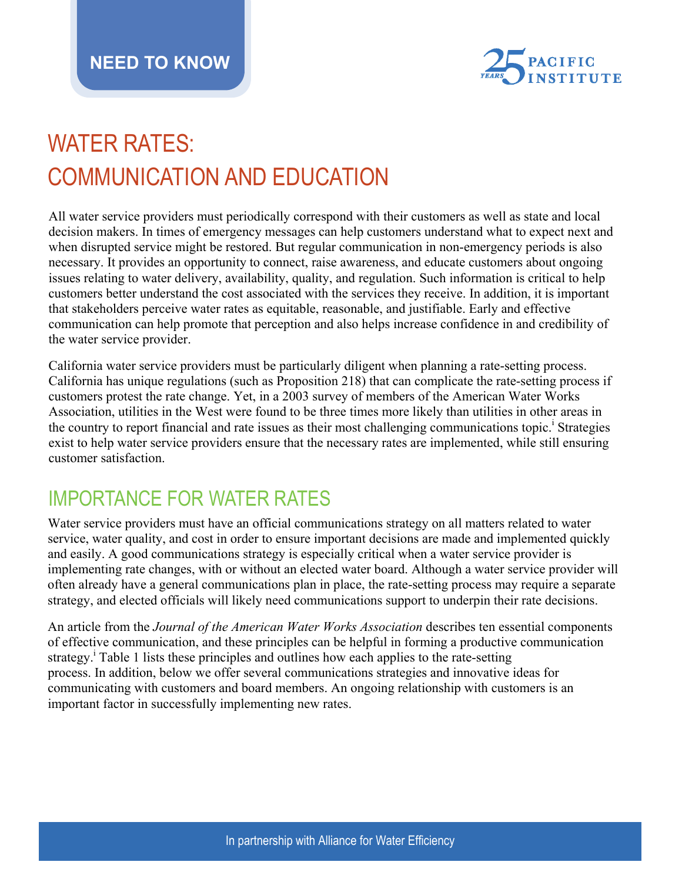

# WATER RATES: COMMUNICATION AND EDUCATION

All water service providers must periodically correspond with their customers as well as state and local decision makers. In times of emergency messages can help customers understand what to expect next and when disrupted service might be restored. But regular communication in non-emergency periods is also necessary. It provides an opportunity to connect, raise awareness, and educate customers about ongoing issues relating to water delivery, availability, quality, and regulation. Such information is critical to help customers better understand the cost associated with the services they receive. In addition, it is important that stakeholders perceive water rates as equitable, reasonable, and justifiable. Early and effective communication can help promote that perception and also helps increase confidence in and credibility of the water service provider.

California water service providers must be particularly diligent when planning a rate-setting process. California has unique regulations (such as Proposition 218) that can complicate the rate-setting process if customers protest the rate change. Yet, in a 2003 survey of members of the American Water Works Association, utilities in the West were found to be three times more likely than utilities in other areas in the country to report financial and rate issues as their most challenging communications topic.<sup>1</sup> Strategies exist to help water service providers ensure that the necessary rates are implemented, while still ensuring customer satisfaction.

## IMPORTANCE FOR WATER RATES

Water service providers must have an official communications strategy on all matters related to water service, water quality, and cost in order to ensure important decisions are made and implemented quickly and easily. A good communications strategy is especially critical when a water service provider is implementing rate changes, with or without an elected water board. Although a water service provider will often already have a general communications plan in place, the rate-setting process may require a separate strategy, and elected officials will likely need communications support to underpin their rate decisions.

An article from the *Journal of the American Water Works Association* describes ten essential components of effective communication, and these principles can be helpful in forming a productive communication strategy.<sup>i</sup> Table 1 lists these principles and outlines how each applies to the rate-setting process. In addition, below we offer several communications strategies and innovative ideas for communicating with customers and board members. An ongoing relationship with customers is an important factor in successfully implementing new rates.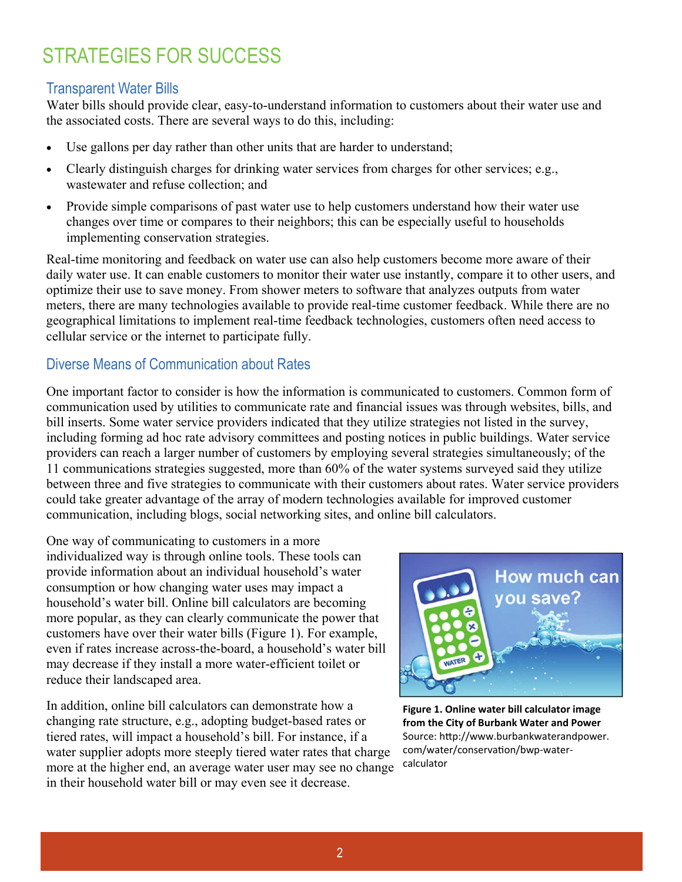# STRATEGIES FOR SUCCESS

### Transparent Water Bills

Water bills should provide clear, easy-to-understand information to customers about their water use and the associated costs. There are several ways to do this, including:

- Use gallons per day rather than other units that are harder to understand;
- Clearly distinguish charges for drinking water services from charges for other services; e.g., wastewater and refuse collection; and
- Provide simple comparisons of past water use to help customers understand how their water use changes over time or compares to their neighbors; this can be especially useful to households implementing conservation strategies.

Real-time monitoring and feedback on water use can also help customers become more aware of their daily water use. It can enable customers to monitor their water use instantly, compare it to other users, and optimize their use to save money. From shower meters to software that analyzes outputs from water meters, there are many technologies available to provide real-time customer feedback. While there are no geographical limitations to implement real-time feedback technologies, customers often need access to cellular service or the internet to participate fully.

### Diverse Means of Communication about Rates

One important factor to consider is how the information is communicated to customers. Common form of communication used by utilities to communicate rate and financial issues was through websites, bills, and bill inserts. Some water service providers indicated that they utilize strategies not listed in the survey, including forming ad hoc rate advisory committees and posting notices in public buildings. Water service providers can reach a larger number of customers by employing several strategies simultaneously; of the 11 communications strategies suggested, more than 60% of the water systems surveyed said they utilize between three and five strategies to communicate with their customers about rates. Water service providers could take greater advantage of the array of modern technologies available for improved customer communication, including blogs, social networking sites, and online bill calculators.

One way of communicating to customers in a more individualized way is through online tools. These tools can provide information about an individual household's water consumption or how changing water uses may impact a household's water bill. Online bill calculators are becoming more popular, as they can clearly communicate the power that customers have over their water bills (Figure 1). For example, even if rates increase across-the-board, a household's water bill may decrease if they install a more water-efficient toilet or reduce their landscaped area.

In addition, online bill calculators can demonstrate how a changing rate structure, e.g., adopting budget-based rates or tiered rates, will impact a household's bill. For instance, if a water supplier adopts more steeply tiered water rates that charge more at the higher end, an average water user may see no change in their household water bill or may even see it decrease.



**Figure 1. Online water bill calculator image from the City of Burbank Water and Power** Source: http://www.burbankwaterandpower. com/water/conservation/bwp-watercalculator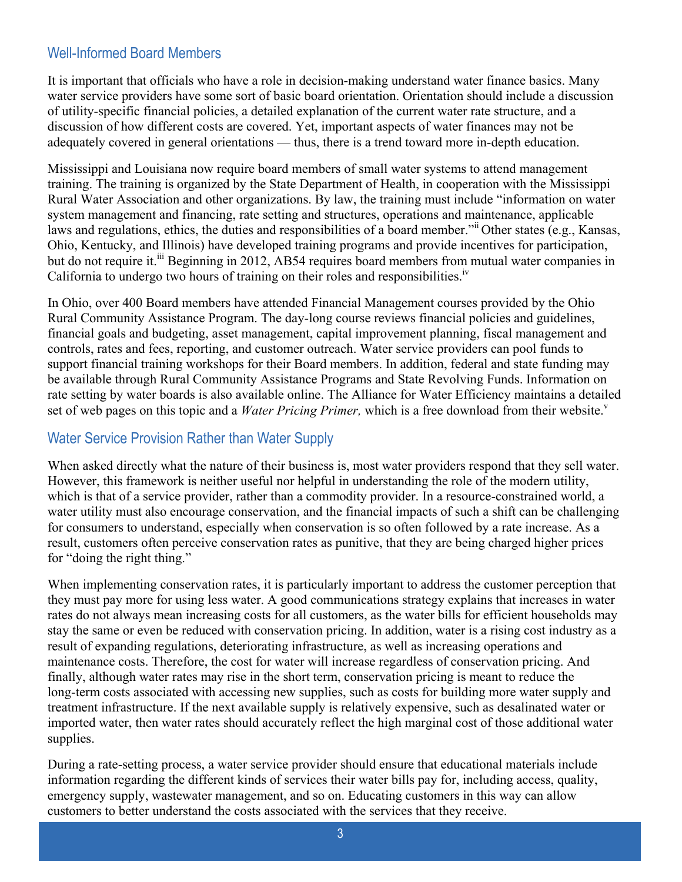### Well-Informed Board Members

It is important that officials who have a role in decision-making understand water finance basics. Many water service providers have some sort of basic board orientation. Orientation should include a discussion of utility-specific financial policies, a detailed explanation of the current water rate structure, and a discussion of how different costs are covered. Yet, important aspects of water finances may not be adequately covered in general orientations — thus, there is a trend toward more in-depth education.

Mississippi and Louisiana now require board members of small water systems to attend management training. The training is organized by the State Department of Health, in cooperation with the Mississippi Rural Water Association and other organizations. By law, the training must include "information on water system management and financing, rate setting and structures, operations and maintenance, applicable laws and regulations, ethics, the duties and responsibilities of a board member." Other states (e.g., Kansas, Ohio, Kentucky, and Illinois) have developed training programs and provide incentives for participation, but do not require it.<sup>iii</sup> Beginning in 2012, AB54 requires board members from mutual water companies in California to undergo two hours of training on their roles and responsibilities.<sup>iv</sup>

In Ohio, over 400 Board members have attended Financial Management courses provided by the Ohio Rural Community Assistance Program. The day-long course reviews financial policies and guidelines, financial goals and budgeting, asset management, capital improvement planning, fiscal management and controls, rates and fees, reporting, and customer outreach. Water service providers can pool funds to support financial training workshops for their Board members. In addition, federal and state funding may be available through Rural Community Assistance Programs and State Revolving Funds. Information on rate setting by water boards is also available online. The Alliance for Water Efficiency maintains a detailed set of web pages on this topic and a *Water Pricing Primer*, which is a free download from their website.<sup>v</sup>

#### Water Service Provision Rather than Water Supply

When asked directly what the nature of their business is, most water providers respond that they sell water. However, this framework is neither useful nor helpful in understanding the role of the modern utility, which is that of a service provider, rather than a commodity provider. In a resource-constrained world, a water utility must also encourage conservation, and the financial impacts of such a shift can be challenging for consumers to understand, especially when conservation is so often followed by a rate increase. As a result, customers often perceive conservation rates as punitive, that they are being charged higher prices for "doing the right thing."

When implementing conservation rates, it is particularly important to address the customer perception that they must pay more for using less water. A good communications strategy explains that increases in water rates do not always mean increasing costs for all customers, as the water bills for efficient households may stay the same or even be reduced with conservation pricing. In addition, water is a rising cost industry as a result of expanding regulations, deteriorating infrastructure, as well as increasing operations and maintenance costs. Therefore, the cost for water will increase regardless of conservation pricing. And finally, although water rates may rise in the short term, conservation pricing is meant to reduce the long-term costs associated with accessing new supplies, such as costs for building more water supply and treatment infrastructure. If the next available supply is relatively expensive, such as desalinated water or imported water, then water rates should accurately reflect the high marginal cost of those additional water supplies.

During a rate-setting process, a water service provider should ensure that educational materials include information regarding the different kinds of services their water bills pay for, including access, quality, emergency supply, wastewater management, and so on. Educating customers in this way can allow customers to better understand the costs associated with the services that they receive.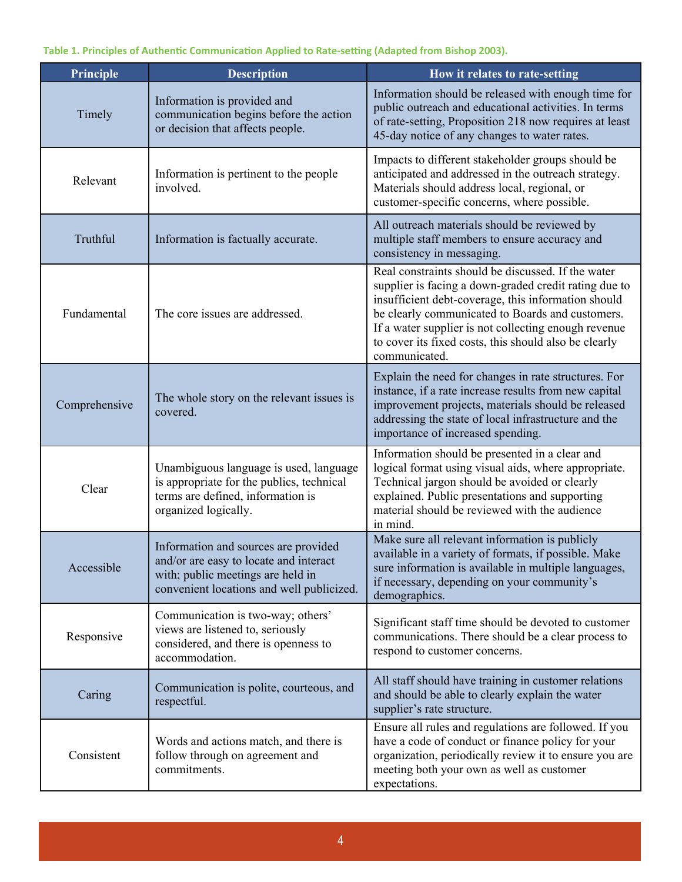| Principle     | <b>Description</b>                                                                                                                                               | How it relates to rate-setting                                                                                                                                                                                                                                                                                                                           |
|---------------|------------------------------------------------------------------------------------------------------------------------------------------------------------------|----------------------------------------------------------------------------------------------------------------------------------------------------------------------------------------------------------------------------------------------------------------------------------------------------------------------------------------------------------|
| Timely        | Information is provided and<br>communication begins before the action<br>or decision that affects people.                                                        | Information should be released with enough time for<br>public outreach and educational activities. In terms<br>of rate-setting, Proposition 218 now requires at least<br>45-day notice of any changes to water rates.                                                                                                                                    |
| Relevant      | Information is pertinent to the people<br>involved.                                                                                                              | Impacts to different stakeholder groups should be<br>anticipated and addressed in the outreach strategy.<br>Materials should address local, regional, or<br>customer-specific concerns, where possible.                                                                                                                                                  |
| Truthful      | Information is factually accurate.                                                                                                                               | All outreach materials should be reviewed by<br>multiple staff members to ensure accuracy and<br>consistency in messaging.                                                                                                                                                                                                                               |
| Fundamental   | The core issues are addressed.                                                                                                                                   | Real constraints should be discussed. If the water<br>supplier is facing a down-graded credit rating due to<br>insufficient debt-coverage, this information should<br>be clearly communicated to Boards and customers.<br>If a water supplier is not collecting enough revenue<br>to cover its fixed costs, this should also be clearly<br>communicated. |
| Comprehensive | The whole story on the relevant issues is<br>covered.                                                                                                            | Explain the need for changes in rate structures. For<br>instance, if a rate increase results from new capital<br>improvement projects, materials should be released<br>addressing the state of local infrastructure and the<br>importance of increased spending.                                                                                         |
| Clear         | Unambiguous language is used, language<br>is appropriate for the publics, technical<br>terms are defined, information is<br>organized logically.                 | Information should be presented in a clear and<br>logical format using visual aids, where appropriate.<br>Technical jargon should be avoided or clearly<br>explained. Public presentations and supporting<br>material should be reviewed with the audience<br>in mind.                                                                                   |
| Accessible    | Information and sources are provided<br>and/or are easy to locate and interact<br>with; public meetings are held in<br>convenient locations and well publicized. | Make sure all relevant information is publicly<br>available in a variety of formats, if possible. Make<br>sure information is available in multiple languages,<br>if necessary, depending on your community's<br>demographics.                                                                                                                           |
| Responsive    | Communication is two-way; others'<br>views are listened to, seriously<br>considered, and there is openness to<br>accommodation.                                  | Significant staff time should be devoted to customer<br>communications. There should be a clear process to<br>respond to customer concerns.                                                                                                                                                                                                              |
| Caring        | Communication is polite, courteous, and<br>respectful.                                                                                                           | All staff should have training in customer relations<br>and should be able to clearly explain the water<br>supplier's rate structure.                                                                                                                                                                                                                    |
| Consistent    | Words and actions match, and there is<br>follow through on agreement and<br>commitments.                                                                         | Ensure all rules and regulations are followed. If you<br>have a code of conduct or finance policy for your<br>organization, periodically review it to ensure you are<br>meeting both your own as well as customer<br>expectations.                                                                                                                       |